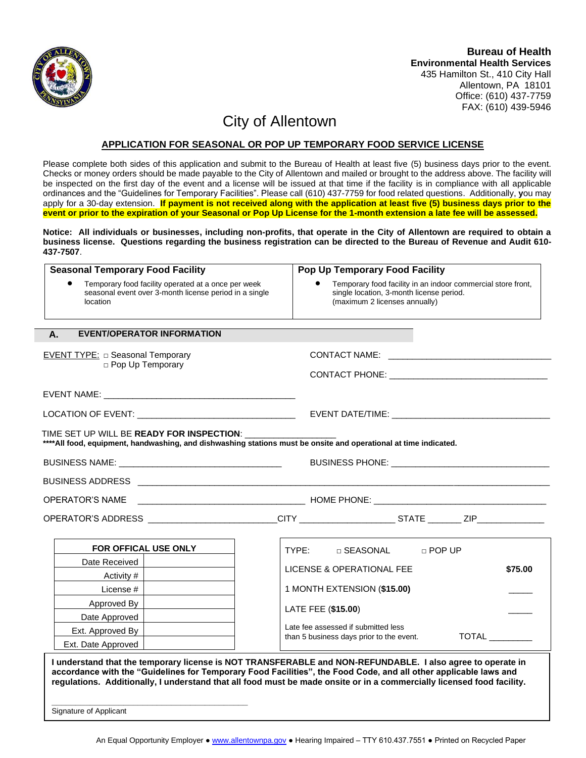

435 Hamilton St., 410 City Hall Allentown, PA 18101 Office: (610) 437-7759 FAX: (610) 439-5946

## City of Allentown

## **APPLICATION FOR SEASONAL OR POP UP TEMPORARY FOOD SERVICE LICENSE**

Please complete both sides of this application and submit to the Bureau of Health at least five (5) business days prior to the event. Checks or money orders should be made payable to the City of Allentown and mailed or brought to the address above. The facility will be inspected on the first day of the event and a license will be issued at that time if the facility is in compliance with all applicable ordinances and the "Guidelines for Temporary Facilities". Please call (610) 437-7759 for food related questions. Additionally, **y**ou may apply for a 30-day extension. **If payment is not received along with the application at least five (5) business days prior to the event or prior to the expiration of your Seasonal or Pop Up License for the 1-month extension a late fee will be assessed.** 

**Notice: All individuals or businesses, including non-profits, that operate in the City of Allentown are required to obtain a business license. Questions regarding the business registration can be directed to the Bureau of Revenue and Audit 610- 437-7507**.

| <b>Seasonal Temporary Food Facility</b>                                                                                                                                                                                        | Pop Up Temporary Food Facility                                                                                                                                                                                                                                                                                                                           |  |  |  |  |  |
|--------------------------------------------------------------------------------------------------------------------------------------------------------------------------------------------------------------------------------|----------------------------------------------------------------------------------------------------------------------------------------------------------------------------------------------------------------------------------------------------------------------------------------------------------------------------------------------------------|--|--|--|--|--|
| Temporary food facility operated at a once per week<br>seasonal event over 3-month license period in a single<br>location                                                                                                      | Temporary food facility in an indoor commercial store front,<br>single location, 3-month license period.<br>(maximum 2 licenses annually)                                                                                                                                                                                                                |  |  |  |  |  |
| <b>EVENT/OPERATOR INFORMATION</b><br>А.                                                                                                                                                                                        |                                                                                                                                                                                                                                                                                                                                                          |  |  |  |  |  |
| <b>EVENT TYPE:</b> $\Box$ Seasonal Temporary                                                                                                                                                                                   |                                                                                                                                                                                                                                                                                                                                                          |  |  |  |  |  |
| p Pop Up Temporary                                                                                                                                                                                                             |                                                                                                                                                                                                                                                                                                                                                          |  |  |  |  |  |
|                                                                                                                                                                                                                                |                                                                                                                                                                                                                                                                                                                                                          |  |  |  |  |  |
|                                                                                                                                                                                                                                |                                                                                                                                                                                                                                                                                                                                                          |  |  |  |  |  |
| TIME SET UP WILL BE READY FOR INSPECTION:<br>**** All food, equipment, handwashing, and dishwashing stations must be onsite and operational at time indicated.                                                                 |                                                                                                                                                                                                                                                                                                                                                          |  |  |  |  |  |
| BUSINESS PHONE: New York State And The Contract of the Contract of the Contract of the Contract of the Contract of the Contract of the Contract of the Contract of the Contract of the Contract of the Contract of the Contrac |                                                                                                                                                                                                                                                                                                                                                          |  |  |  |  |  |
|                                                                                                                                                                                                                                |                                                                                                                                                                                                                                                                                                                                                          |  |  |  |  |  |
| <b>OPERATOR'S NAME</b>                                                                                                                                                                                                         |                                                                                                                                                                                                                                                                                                                                                          |  |  |  |  |  |
|                                                                                                                                                                                                                                | OPERATOR'S ADDRESS __________________________CITY ____________________STATE _________ZIP____________                                                                                                                                                                                                                                                     |  |  |  |  |  |
| FOR OFFICAL USE ONLY                                                                                                                                                                                                           | $\mathsf{TYPE}$ :<br>$\Box$ SEASONAL<br>$\Box$ POP UP                                                                                                                                                                                                                                                                                                    |  |  |  |  |  |
| Date Received                                                                                                                                                                                                                  |                                                                                                                                                                                                                                                                                                                                                          |  |  |  |  |  |
| Activity #                                                                                                                                                                                                                     | LICENSE & OPERATIONAL FEE<br>\$75.00                                                                                                                                                                                                                                                                                                                     |  |  |  |  |  |
| License #                                                                                                                                                                                                                      | 1 MONTH EXTENSION (\$15.00)                                                                                                                                                                                                                                                                                                                              |  |  |  |  |  |
| Approved By                                                                                                                                                                                                                    |                                                                                                                                                                                                                                                                                                                                                          |  |  |  |  |  |
| Date Approved                                                                                                                                                                                                                  | LATE FEE (\$15.00)                                                                                                                                                                                                                                                                                                                                       |  |  |  |  |  |
| Ext. Approved By                                                                                                                                                                                                               | Late fee assessed if submitted less<br><b>TOTAL</b><br>than 5 business days prior to the event.                                                                                                                                                                                                                                                          |  |  |  |  |  |
| Ext. Date Approved                                                                                                                                                                                                             |                                                                                                                                                                                                                                                                                                                                                          |  |  |  |  |  |
| Signature of Applicant                                                                                                                                                                                                         | I understand that the temporary license is NOT TRANSFERABLE and NON-REFUNDABLE. I also agree to operate in<br>accordance with the "Guidelines for Temporary Food Facilities", the Food Code, and all other applicable laws and<br>regulations. Additionally, I understand that all food must be made onsite or in a commercially licensed food facility. |  |  |  |  |  |